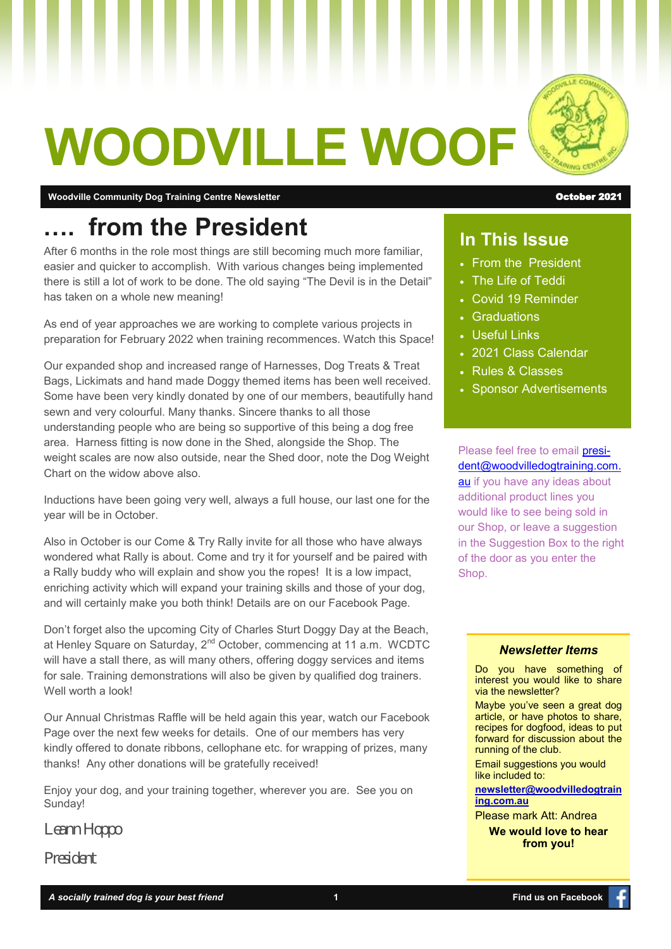# WOODVILLE WOO

**Woodville Community Dog Training Centre Newsletter Community Dog Training Centre Newsletter** October 2021

### **…. from the President**

After 6 months in the role most things are still becoming much more familiar, easier and quicker to accomplish. With various changes being implemented there is still a lot of work to be done. The old saying "The Devil is in the Detail" has taken on a whole new meaning!

As end of year approaches we are working to complete various projects in preparation for February 2022 when training recommences. Watch this Space!

Our expanded shop and increased range of Harnesses, Dog Treats & Treat Bags, Lickimats and hand made Doggy themed items has been well received. Some have been very kindly donated by one of our members, beautifully hand sewn and very colourful. Many thanks. Sincere thanks to all those understanding people who are being so supportive of this being a dog free area. Harness fitting is now done in the Shed, alongside the Shop. The weight scales are now also outside, near the Shed door, note the Dog Weight Chart on the widow above also.

Inductions have been going very well, always a full house, our last one for the year will be in October.

Also in October is our Come & Try Rally invite for all those who have always wondered what Rally is about. Come and try it for yourself and be paired with a Rally buddy who will explain and show you the ropes! It is a low impact, enriching activity which will expand your training skills and those of your dog, and will certainly make you both think! Details are on our Facebook Page.

Don't forget also the upcoming City of Charles Sturt Doggy Day at the Beach, at Henley Square on Saturday, 2<sup>nd</sup> October, commencing at 11 a.m. WCDTC will have a stall there, as will many others, offering doggy services and items for sale. Training demonstrations will also be given by qualified dog trainers. Well worth a look!

Our Annual Christmas Raffle will be held again this year, watch our Facebook Page over the next few weeks for details. One of our members has very kindly offered to donate ribbons, cellophane etc. for wrapping of prizes, many thanks! Any other donations will be gratefully received!

Enjoy your dog, and your training together, wherever you are. See you on Sunday!

*Leann Hoppo*

*President*



**MAT COM** 

#### **In This Issue**

- From the President
- The Life of Teddi
- Covid 19 Reminder
- Graduations
- Useful Links
- 2021 Class Calendar
- Rules & Classes
- **Sponsor Advertisements**

Please feel free to email [presi](mailto:president@woodvilledogtraining.com.au)[dent@woodvilledogtraining.com.](mailto:president@woodvilledogtraining.com.au) [au](mailto:president@woodvilledogtraining.com.au) if you have any ideas about additional product lines you would like to see being sold in our Shop, or leave a suggestion in the Suggestion Box to the right of the door as you enter the Shop.

#### *Newsletter Items*

Do you have something of interest you would like to share via the newsletter?

Maybe you've seen a great dog article, or have photos to share, recipes for dogfood, ideas to put forward for discussion about the running of the club.

Email suggestions you would like included to:

**[newsletter@woodvilledogtrain](mailto:newsletter@woodvilledogtraining.com.au) [ing.com.au](mailto:newsletter@woodvilledogtraining.com.au)**

Please mark Att: Andrea

**We would love to hear from you!**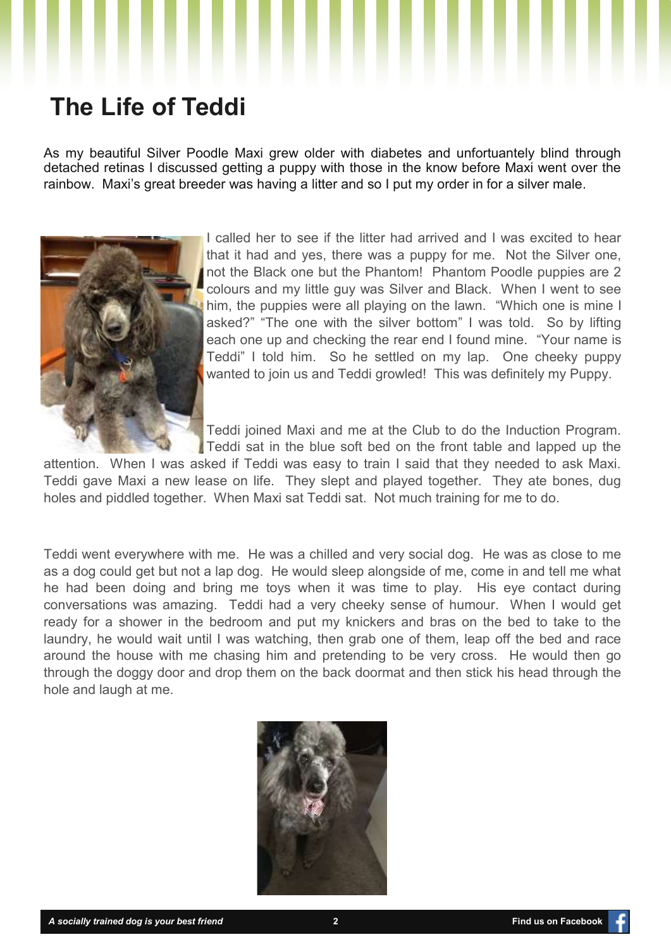# **The Life of Teddi**

As my beautiful Silver Poodle Maxi grew older with diabetes and unfortuantely blind through detached retinas I discussed getting a puppy with those in the know before Maxi went over the rainbow. Maxi's great breeder was having a litter and so I put my order in for a silver male.



I called her to see if the litter had arrived and I was excited to hear that it had and yes, there was a puppy for me. Not the Silver one, not the Black one but the Phantom! Phantom Poodle puppies are 2 colours and my little guy was Silver and Black. When I went to see him, the puppies were all playing on the lawn. "Which one is mine I asked?" "The one with the silver bottom" I was told. So by lifting each one up and checking the rear end I found mine. "Your name is Teddi" I told him. So he settled on my lap. One cheeky puppy wanted to join us and Teddi growled! This was definitely my Puppy.

Teddi joined Maxi and me at the Club to do the Induction Program. Teddi sat in the blue soft bed on the front table and lapped up the

attention. When I was asked if Teddi was easy to train I said that they needed to ask Maxi. Teddi gave Maxi a new lease on life. They slept and played together. They ate bones, dug holes and piddled together. When Maxi sat Teddi sat. Not much training for me to do.

Teddi went everywhere with me. He was a chilled and very social dog. He was as close to me as a dog could get but not a lap dog. He would sleep alongside of me, come in and tell me what he had been doing and bring me toys when it was time to play. His eye contact during conversations was amazing. Teddi had a very cheeky sense of humour. When I would get ready for a shower in the bedroom and put my knickers and bras on the bed to take to the laundry, he would wait until I was watching, then grab one of them, leap off the bed and race around the house with me chasing him and pretending to be very cross. He would then go through the doggy door and drop them on the back doormat and then stick his head through the hole and laugh at me.

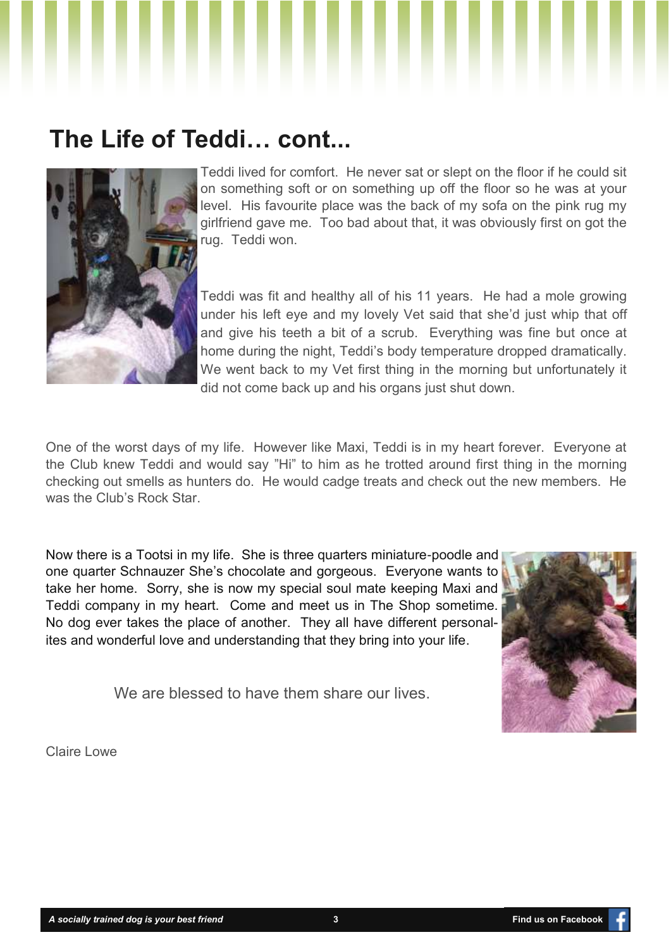# **The Life of Teddi… cont...**



Teddi lived for comfort. He never sat or slept on the floor if he could sit on something soft or on something up off the floor so he was at your level. His favourite place was the back of my sofa on the pink rug my girlfriend gave me. Too bad about that, it was obviously first on got the rug. Teddi won.

Teddi was fit and healthy all of his 11 years. He had a mole growing under his left eye and my lovely Vet said that she'd just whip that off and give his teeth a bit of a scrub. Everything was fine but once at home during the night, Teddi's body temperature dropped dramatically. We went back to my Vet first thing in the morning but unfortunately it did not come back up and his organs just shut down.

One of the worst days of my life. However like Maxi, Teddi is in my heart forever. Everyone at the Club knew Teddi and would say "Hi" to him as he trotted around first thing in the morning checking out smells as hunters do. He would cadge treats and check out the new members. He was the Club's Rock Star.

Now there is a Tootsi in my life. She is three quarters miniature-poodle and one quarter Schnauzer She's chocolate and gorgeous. Everyone wants to take her home. Sorry, she is now my special soul mate keeping Maxi and Teddi company in my heart. Come and meet us in The Shop sometime. No dog ever takes the place of another. They all have different personalites and wonderful love and understanding that they bring into your life.

We are blessed to have them share our lives.



Claire Lowe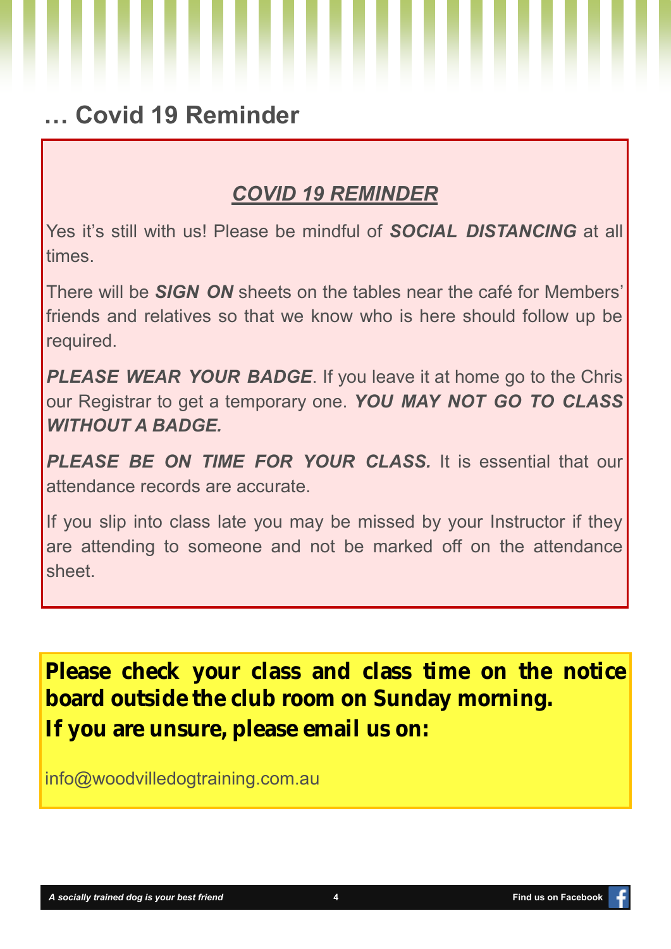# **… Covid 19 Reminder**

### *COVID 19 REMINDER*

Yes it's still with us! Please be mindful of *SOCIAL DISTANCING* at all times.

There will be *SIGN ON* sheets on the tables near the café for Members' friends and relatives so that we know who is here should follow up be required.

**PLEASE WEAR YOUR BADGE.** If you leave it at home go to the Chris our Registrar to get a temporary one. *YOU MAY NOT GO TO CLASS WITHOUT A BADGE.*

*PLEASE BE ON TIME FOR YOUR CLASS.* It is essential that our attendance records are accurate.

If you slip into class late you may be missed by your Instructor if they are attending to someone and not be marked off on the attendance sheet.

**Please check your class and class time on the notice board outside the club room on Sunday morning. If you are unsure, please email us on:** 

info@woodvilledogtraining.com.au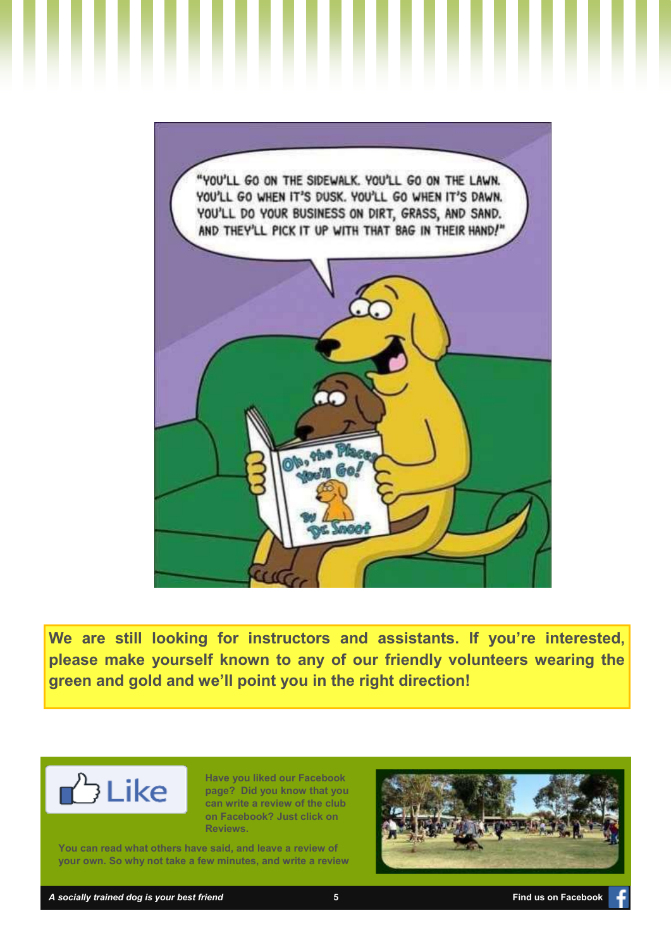

**We are still looking for instructors and assistants. If you're interested, please make yourself known to any of our friendly volunteers wearing the green and gold and we'll point you in the right direction!** 

![](_page_4_Picture_2.jpeg)

**Have you liked our Facebook page? Did you know that you can write a review of the club on Facebook? Just click on Reviews.**

**You can read what others have said, and leave a review of your own. So why not take a few minutes, and write a review** 

![](_page_4_Picture_5.jpeg)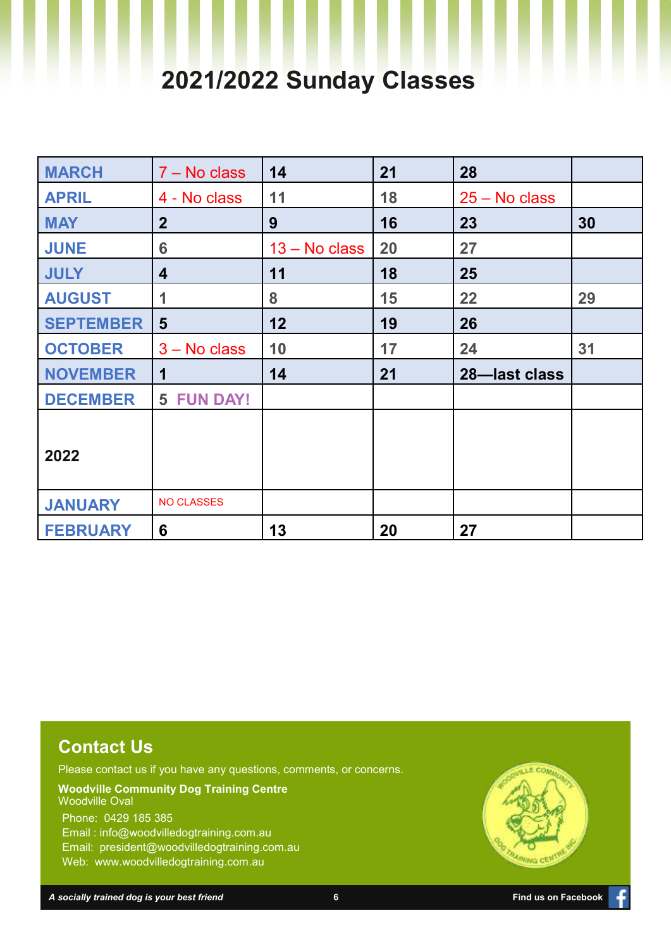# **2021/2022 Sunday Classes**

| <b>MARCH</b>     | 7 – No class            | 14              | 21 | 28              |    |
|------------------|-------------------------|-----------------|----|-----------------|----|
| <b>APRIL</b>     | 4 - No class            | 11              | 18 | $25 - No class$ |    |
| <b>MAY</b>       | $\overline{2}$          | 9               | 16 | 23              | 30 |
| <b>JUNE</b>      | 6                       | $13 - No class$ | 20 | 27              |    |
| <b>JULY</b>      | $\overline{\mathbf{4}}$ | 11              | 18 | 25              |    |
| <b>AUGUST</b>    | 1                       | 8               | 15 | 22              | 29 |
| <b>SEPTEMBER</b> | $5\phantom{1}$          | 12              | 19 | 26              |    |
| <b>OCTOBER</b>   | $3 - No$ class          | 10              | 17 | 24              | 31 |
| <b>NOVEMBER</b>  | 1                       | 14              | 21 | 28-last class   |    |
| <b>DECEMBER</b>  | <b>FUN DAY!</b><br>5    |                 |    |                 |    |
|                  |                         |                 |    |                 |    |
| 2022             |                         |                 |    |                 |    |
|                  |                         |                 |    |                 |    |
| <b>JANUARY</b>   | <b>NO CLASSES</b>       |                 |    |                 |    |
| <b>FEBRUARY</b>  | 6                       | 13              | 20 | 27              |    |

#### **Contact Us**

Please contact us if you have any questions, comments, or concerns.

#### **Woodville Community Dog Training Centre** Woodville Oval

Phone: 0429 185 385

Email : info@woodvilledogtraining.com.au

Email: president@woodvilledogtraining.com.au

Web: www.woodvilledogtraining.com.au

![](_page_5_Picture_9.jpeg)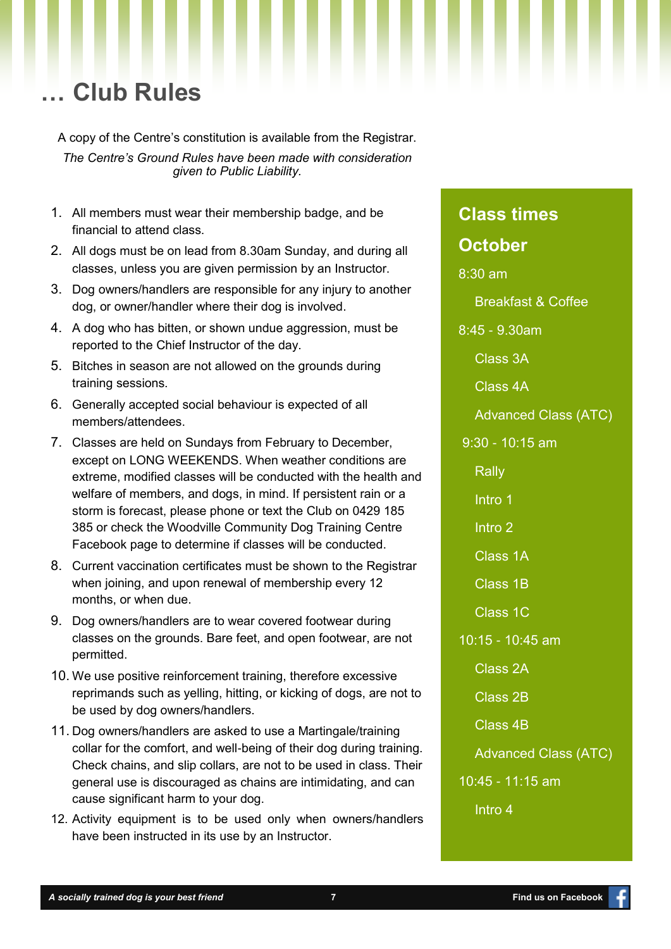## **… Club Rules**

A copy of the Centre's constitution is available from the Registrar.

*The Centre's Ground Rules have been made with consideration given to Public Liability.*

- 1. All members must wear their membership badge, and be financial to attend class.
- 2. All dogs must be on lead from 8.30am Sunday, and during all classes, unless you are given permission by an Instructor.
- 3. Dog owners/handlers are responsible for any injury to another dog, or owner/handler where their dog is involved.
- 4. A dog who has bitten, or shown undue aggression, must be reported to the Chief Instructor of the day.
- 5. Bitches in season are not allowed on the grounds during training sessions.
- 6. Generally accepted social behaviour is expected of all members/attendees.
- 7. Classes are held on Sundays from February to December, except on LONG WEEKENDS. When weather conditions are extreme, modified classes will be conducted with the health and welfare of members, and dogs, in mind. If persistent rain or a storm is forecast, please phone or text the Club on 0429 185 385 or check the Woodville Community Dog Training Centre Facebook page to determine if classes will be conducted.
- 8. Current vaccination certificates must be shown to the Registrar when joining, and upon renewal of membership every 12 months, or when due.
- 9. Dog owners/handlers are to wear covered footwear during classes on the grounds. Bare feet, and open footwear, are not permitted.
- 10. We use positive reinforcement training, therefore excessive reprimands such as yelling, hitting, or kicking of dogs, are not to be used by dog owners/handlers.
- 11. Dog owners/handlers are asked to use a Martingale/training collar for the comfort, and well-being of their dog during training. Check chains, and slip collars, are not to be used in class. Their general use is discouraged as chains are intimidating, and can cause significant harm to your dog.
- 12. Activity equipment is to be used only when owners/handlers have been instructed in its use by an Instructor.

### **Class times October**

8:30 am Breakfast & Coffee 8:45 - 9.30am Class 3A Class 4A Advanced Class (ATC) 9:30 - 10:15 am **Rally** Intro 1 Intro 2 Class 1A Class 1B Class 1C 10:15 - 10:45 am Class 2A Class 2B Class 4B Advanced Class (ATC) 10:45 - 11:15 am Intro 4